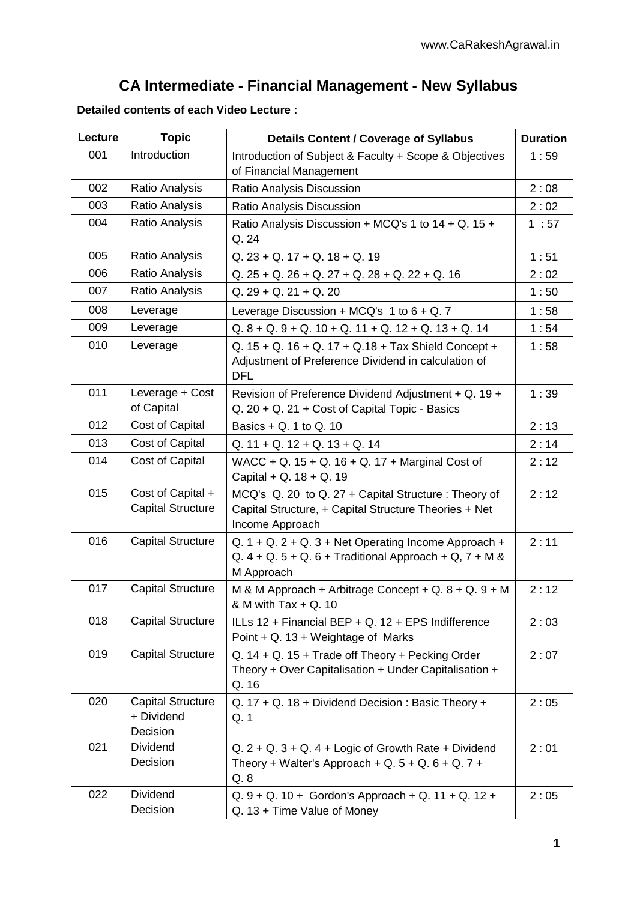## **CA Intermediate - Financial Management - New Syllabus**

**Detailed contents of each Video Lecture :**

| Lecture | <b>Topic</b>                                       | <b>Details Content / Coverage of Syllabus</b>                                                                                          | <b>Duration</b> |
|---------|----------------------------------------------------|----------------------------------------------------------------------------------------------------------------------------------------|-----------------|
| 001     | Introduction                                       | Introduction of Subject & Faculty + Scope & Objectives<br>of Financial Management                                                      | 1:59            |
| 002     | Ratio Analysis                                     | Ratio Analysis Discussion                                                                                                              | 2:08            |
| 003     | Ratio Analysis                                     | Ratio Analysis Discussion                                                                                                              | 2:02            |
| 004     | Ratio Analysis                                     | Ratio Analysis Discussion + MCQ's 1 to 14 + Q. 15 +<br>Q. 24                                                                           | 1:57            |
| 005     | Ratio Analysis                                     | $Q. 23 + Q. 17 + Q. 18 + Q. 19$                                                                                                        | 1:51            |
| 006     | Ratio Analysis                                     | $Q. 25 + Q. 26 + Q. 27 + Q. 28 + Q. 22 + Q. 16$                                                                                        | 2:02            |
| 007     | Ratio Analysis                                     | $Q. 29 + Q. 21 + Q. 20$                                                                                                                | 1:50            |
| 008     | Leverage                                           | Leverage Discussion + MCQ's $1$ to $6 + Q$ . 7                                                                                         | 1:58            |
| 009     | Leverage                                           | $Q. 8 + Q. 9 + Q. 10 + Q. 11 + Q. 12 + Q. 13 + Q. 14$                                                                                  | 1:54            |
| 010     | Leverage                                           | Q. $15 + Q$ . $16 + Q$ . $17 + Q$ . $18 + Tax$ Shield Concept +<br>Adjustment of Preference Dividend in calculation of<br><b>DFL</b>   |                 |
| 011     | Leverage + Cost<br>of Capital                      | Revision of Preference Dividend Adjustment + Q. 19 +<br>Q. 20 + Q. 21 + Cost of Capital Topic - Basics                                 | 1:39            |
| 012     | Cost of Capital                                    | Basics $+$ Q. 1 to Q. 10                                                                                                               | 2:13            |
| 013     | Cost of Capital                                    | $Q. 11 + Q. 12 + Q. 13 + Q. 14$                                                                                                        | 2:14            |
| 014     | Cost of Capital                                    | WACC + Q. 15 + Q. 16 + Q. 17 + Marginal Cost of<br>Capital + Q. 18 + Q. 19                                                             | 2:12            |
| 015     | Cost of Capital +<br><b>Capital Structure</b>      | MCQ's Q. 20 to Q. 27 + Capital Structure : Theory of<br>Capital Structure, + Capital Structure Theories + Net<br>Income Approach       | 2:12            |
| 016     | <b>Capital Structure</b>                           | Q. $1 + Q$ . $2 + Q$ . $3 + Net$ Operating Income Approach +<br>Q. $4 + Q. 5 + Q. 6 + Traditional Approach + Q. 7 + M &$<br>M Approach | 2:11            |
| 017     | <b>Capital Structure</b>                           | M & M Approach + Arbitrage Concept + Q. $8 + Q$ , $9 + M$<br>& M with Tax + Q. 10                                                      | 2:12            |
| 018     | <b>Capital Structure</b>                           | ILLs 12 + Financial BEP + Q. 12 + EPS Indifference<br>2:03<br>Point + Q. 13 + Weightage of Marks                                       |                 |
| 019     | <b>Capital Structure</b>                           | Q. $14 + Q$ . $15 +$ Trade off Theory + Pecking Order<br>Theory + Over Capitalisation + Under Capitalisation +<br>Q. 16                |                 |
| 020     | <b>Capital Structure</b><br>+ Dividend<br>Decision | Q. 17 + Q. 18 + Dividend Decision: Basic Theory +<br>Q. 1                                                                              | 2:05            |
| 021     | Dividend<br>Decision                               | $Q. 2 + Q. 3 + Q. 4 + Logic of Growth Rate + Dividend$<br>Theory + Walter's Approach + Q. $5 + Q$ . $6 + Q$ . $7 +$<br>Q.8             | 2:01            |
| 022     | Dividend<br>Decision                               | $Q. 9 + Q. 10 + Gordon's Approach + Q. 11 + Q. 12 +$<br>Q. 13 + Time Value of Money                                                    |                 |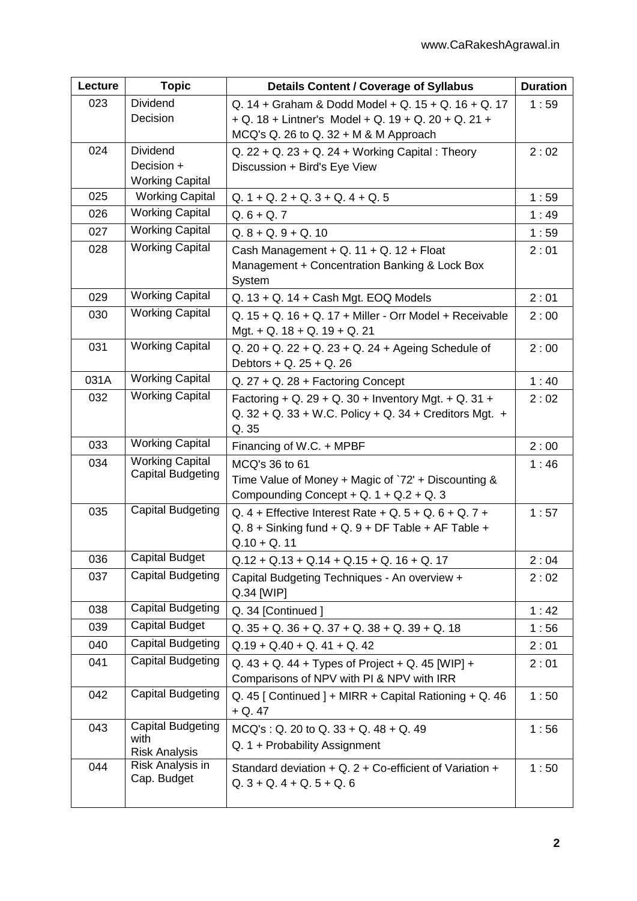| Lecture | <b>Topic</b>                                       | <b>Details Content / Coverage of Syllabus</b>                                                                                    | <b>Duration</b> |
|---------|----------------------------------------------------|----------------------------------------------------------------------------------------------------------------------------------|-----------------|
| 023     | Dividend                                           | Q. 14 + Graham & Dodd Model + Q. 15 + Q. 16 + Q. 17                                                                              | 1:59            |
|         | Decision                                           | $+ Q. 18 + Lintner's Model + Q. 19 + Q. 20 + Q. 21 +$                                                                            |                 |
|         |                                                    | MCQ's Q. 26 to Q. 32 + M & M Approach                                                                                            |                 |
| 024     | Dividend                                           | $Q. 22 + Q. 23 + Q. 24 + Working Capital: Theory$                                                                                | 2:02            |
|         | Decision +                                         | Discussion + Bird's Eye View                                                                                                     |                 |
| 025     | <b>Working Capital</b><br><b>Working Capital</b>   |                                                                                                                                  |                 |
|         | <b>Working Capital</b>                             | $Q. 1 + Q. 2 + Q. 3 + Q. 4 + Q. 5$                                                                                               | 1:59            |
| 026     | <b>Working Capital</b>                             | $Q.6 + Q.7$                                                                                                                      | 1:49            |
| 027     |                                                    | $Q. 8 + Q. 9 + Q. 10$                                                                                                            | 1:59            |
| 028     | <b>Working Capital</b>                             | Cash Management + Q. 11 + Q. 12 + Float<br>Management + Concentration Banking & Lock Box<br>System                               | 2:01            |
| 029     | <b>Working Capital</b>                             | $Q. 13 + Q. 14 + Cash Mgt. EOQ Models$                                                                                           | 2:01            |
| 030     | <b>Working Capital</b>                             | Q. 15 + Q. 16 + Q. 17 + Miller - Orr Model + Receivable<br>Mgt. + Q. $18 + Q$ . $19 + Q$ . 21                                    | 2:00            |
| 031     | <b>Working Capital</b>                             | Q. $20 + Q$ . $22 + Q$ . $23 + Q$ . $24 + Ageing Schedule$ of<br>Debtors + Q. $25 + Q. 26$                                       | 2:00            |
| 031A    | <b>Working Capital</b>                             | $Q. 27 + Q. 28 + Factoring Concept$                                                                                              | 1:40            |
| 032     | <b>Working Capital</b>                             | Factoring + Q. 29 + Q. 30 + Inventory Mgt. + Q. 31 +<br>Q. $32 + Q$ . $33 + W$ .C. Policy + Q. $34 +$ Creditors Mgt. +<br>Q. 35  | 2:02            |
| 033     | <b>Working Capital</b>                             | Financing of W.C. + MPBF                                                                                                         | 2:00            |
| 034     | <b>Working Capital</b><br><b>Capital Budgeting</b> | MCQ's 36 to 61<br>Time Value of Money + Magic of `72' + Discounting &<br>Compounding Concept + Q. $1 + Q.2 + Q.3$                | 1:46            |
| 035     | <b>Capital Budgeting</b>                           | Q. 4 + Effective Interest Rate + Q. 5 + Q. 6 + Q. 7 +<br>Q. $8 +$ Sinking fund + Q. $9 +$ DF Table + AF Table +<br>$Q.10 + Q.11$ | 1:57            |
| 036     | <b>Capital Budget</b>                              | $Q.12 + Q.13 + Q.14 + Q.15 + Q.16 + Q.17$                                                                                        | 2:04            |
| 037     | <b>Capital Budgeting</b>                           | Capital Budgeting Techniques - An overview +<br>Q.34 [WIP]                                                                       | 2:02            |
| 038     | Capital Budgeting                                  | Q. 34 [Continued]                                                                                                                | 1:42            |
| 039     | Capital Budget                                     | $Q. 35 + Q. 36 + Q. 37 + Q. 38 + Q. 39 + Q. 18$                                                                                  | 1:56            |
| 040     | Capital Budgeting                                  | $Q.19 + Q.40 + Q.41 + Q.42$                                                                                                      | 2:01            |
| 041     | Capital Budgeting                                  | Q. $43 + Q$ . $44 + Types$ of Project + Q. 45 [WIP] +<br>Comparisons of NPV with PI & NPV with IRR                               | 2:01            |
| 042     | <b>Capital Budgeting</b>                           | Q. 45 [ Continued ] + MIRR + Capital Rationing + Q. 46<br>$+ Q. 47$                                                              | 1:50            |
| 043     | Capital Budgeting<br>with<br><b>Risk Analysis</b>  | $MCQ's: Q. 20 to Q. 33 + Q. 48 + Q. 49$<br>Q. 1 + Probability Assignment                                                         | 1:56            |
| 044     | Risk Analysis in<br>Cap. Budget                    | Standard deviation + Q. 2 + Co-efficient of Variation +<br>$Q.3 + Q.4 + Q.5 + Q.6$                                               | 1:50            |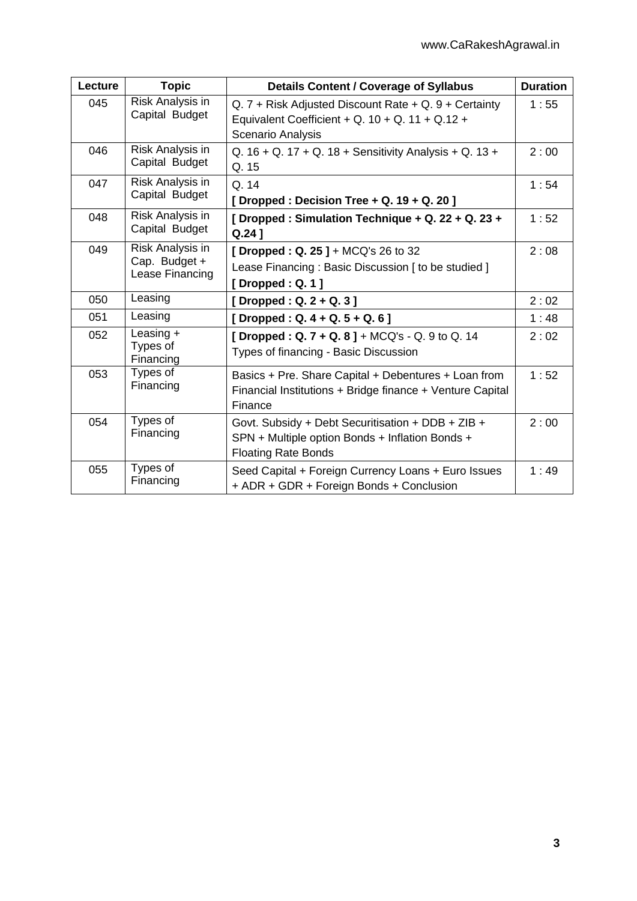| Lecture | <b>Topic</b>                                         | <b>Details Content / Coverage of Syllabus</b>                                                                                      | <b>Duration</b> |
|---------|------------------------------------------------------|------------------------------------------------------------------------------------------------------------------------------------|-----------------|
| 045     | Risk Analysis in<br>Capital Budget                   | $Q. 7 +$ Risk Adjusted Discount Rate + Q. 9 + Certainty<br>Equivalent Coefficient + Q. 10 + Q. 11 + Q.12 +<br>Scenario Analysis    | 1:55            |
| 046     | Risk Analysis in<br>Capital Budget                   | Q. $16 + Q$ . $17 + Q$ . $18 +$ Sensitivity Analysis + Q. $13 +$<br>Q. 15                                                          | 2:00            |
| 047     | Risk Analysis in<br>Capital Budget                   | Q.14<br>[Dropped: Decision Tree + Q. 19 + Q. 20]                                                                                   | 1:54            |
| 048     | Risk Analysis in<br>Capital Budget                   | [ Dropped : Simulation Technique + Q. 22 + Q. 23 +<br>$Q.24$ ]                                                                     | 1:52            |
| 049     | Risk Analysis in<br>Cap. Budget +<br>Lease Financing | [Dropped : $Q. 25$ ] + MCQ's 26 to 32<br>Lease Financing: Basic Discussion [ to be studied ]<br>[Dropped : $Q. 1$ ]                | 2:08            |
| 050     | Leasing                                              | [Dropped : $Q. 2 + Q. 3$ ]                                                                                                         | 2:02            |
| 051     | Leasing                                              | [Dropped : Q. 4 + Q. 5 + Q. 6]                                                                                                     | 1:48            |
| 052     | Leasing +<br>Types of<br>Financing                   | [Dropped : Q. 7 + Q. 8 ] + MCQ's - Q. 9 to Q. 14<br>Types of financing - Basic Discussion                                          | 2:02            |
| 053     | Types of<br>Financing                                | Basics + Pre. Share Capital + Debentures + Loan from<br>Financial Institutions + Bridge finance + Venture Capital<br>Finance       | 1:52            |
| 054     | Types of<br>Financing                                | Govt. Subsidy + Debt Securitisation + DDB + ZIB +<br>SPN + Multiple option Bonds + Inflation Bonds +<br><b>Floating Rate Bonds</b> |                 |
| 055     | Types of<br>Financing                                | Seed Capital + Foreign Currency Loans + Euro Issues<br>+ ADR + GDR + Foreign Bonds + Conclusion                                    | 1:49            |